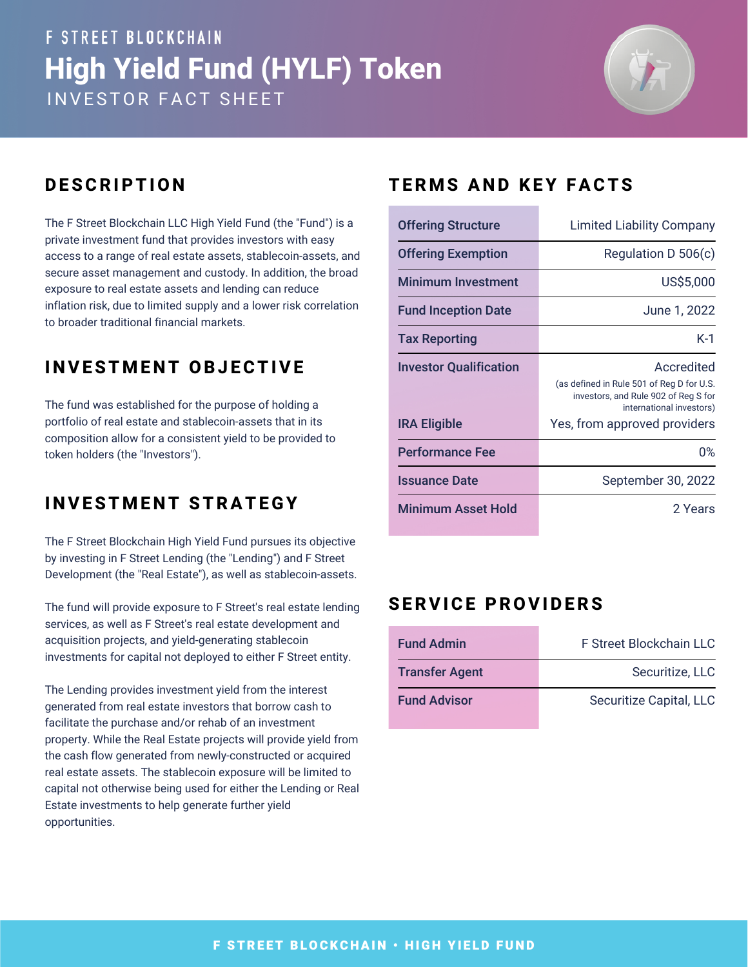# **F STREET BLOCKCHAIN High Yield Fund (HYLF) Token** INVESTOR FACT SHEET



The F Street Blockchain LLC High Yield Fund (the "Fund") is a private investment fund that provides investors with easy access to a range of real estate assets, stablecoin-assets, and secure asset management and custody. In addition, the broad exposure to real estate assets and lending can reduce inflation risk, due to limited supply and a lower risk correlation to broader traditional financial markets.

## **I N VEST M E N T OBJ ECTIVE**

The fund was established for the purpose of holding a portfolio of real estate and stablecoin-assets that in its composition allow for a consistent yield to be provided to token holders (the "Investors").

## **I N VEST M E N T STRATEGY**

The F Street Blockchain High Yield Fund pursues its objective by investing in F Street Lending (the "Lending") and F Street Development (the "Real Estate"), as well as stablecoin-assets.

The fund will provide exposure to F Street's real estate lending services, as well as F Street's real estate development and acquisition projects, and yield-generating stablecoin investments for capital not deployed to either F Street entity.

The Lending provides investment yield from the interest generated from real estate investors that borrow cash to facilitate the purchase and/or rehab of an investment property. While the Real Estate projects will provide yield from the cash flow generated from newly-constructed or acquired real estate assets. The stablecoin exposure will be limited to capital not otherwise being used for either the Lending or Real Estate investments to help generate further yield opportunities.

## **DESCRIPTION** TERMS AND KEY FACTS

| <b>Offering Structure</b>     | <b>Limited Liability Company</b>                                                                                            |
|-------------------------------|-----------------------------------------------------------------------------------------------------------------------------|
| <b>Offering Exemption</b>     | Regulation D 506(c)                                                                                                         |
| <b>Minimum Investment</b>     | US\$5,000                                                                                                                   |
| <b>Fund Inception Date</b>    | June 1, 2022                                                                                                                |
| <b>Tax Reporting</b>          | $K-1$                                                                                                                       |
| <b>Investor Qualification</b> | Accredited<br>(as defined in Rule 501 of Reg D for U.S.<br>investors, and Rule 902 of Reg S for<br>international investors) |
| <b>IRA Eligible</b>           | Yes, from approved providers                                                                                                |
| <b>Performance Fee</b>        | 0%                                                                                                                          |
| <b>Issuance Date</b>          | September 30, 2022                                                                                                          |
| Minimum Asset Hold            | 2 Years                                                                                                                     |

#### **SERVICE PROVIDERS**

| <b>Fund Admin</b>     | F Street Blockchain LLC |
|-----------------------|-------------------------|
| <b>Transfer Agent</b> | Securitize, LLC         |
| <b>Fund Advisor</b>   | Securitize Capital, LLC |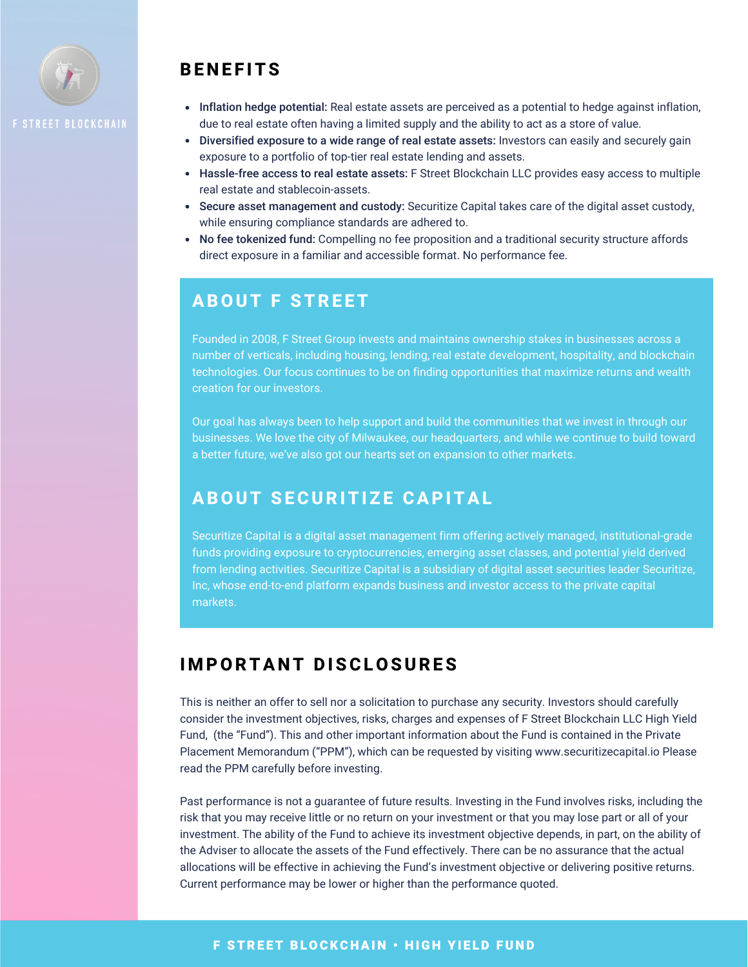

## **BE N E F ITS**

- Inflation hedge potential: Real estate assets are perceived as a potential to hedge against inflation, due to real estate often having a limited supply and the ability to act as a store of value.
- Diversified exposure to a wide range of real estate assets: Investors can easily and securely gain exposure to a portfolio of top-tier real estate lending and assets.
- Hassle-free access to real estate assets: F Street Blockchain LLC provides easy access to multiple real estate and stablecoin-assets.
- Secure asset management and custody: Securitize Capital takes care of the digital asset custody, while ensuring compliance standards are adhered to.
- No fee tokenized fund: Compelling no fee proposition and a traditional security structure affords direct exposure in a familiar and accessible format. No performance fee.

#### **ABOUT F STRE ET**

Founded in 2008, F Street Group invests and maintains ownership stakes in businesses across a number of verticals, including housing, lending, real estate development, hospitality, and blockchain technologies. Our focus continues to be on finding opportunities that maximize returns and wealth creation for our investors.

Our goal has always been to help support and build the communities that we invest in through our businesses. We love the city of Milwaukee, our headquarters, and while we continue to build toward a better future, we've also got our hearts set on expansion to other markets.

#### **ABOUT SECURITIZE CAPITAL**

Securitize Capital is a digital asset management firm offering actively managed, institutional-grade funds providing exposure to cryptocurrencies, emerging asset classes, and potential yield derived from lending activities. Securitize Capital is a subsidiary of digital asset securities leader Securitize, Inc, whose end-to-end platform expands business and investor access to the private capital markets.

#### **I M PORTA N T DISCLOSURES**

This is neither an offer to sell nor a solicitation to purchase any security. Investors should carefully consider the investment objectives, risks, charges and expenses of F Street Blockchain LLC High Yield Fund, (the "Fund"). This and other important information about the Fund is contained in the Private Placement Memorandum ("PPM"), which can be requested by visiting www.securitizecapital.io Please read the PPM carefully before investing.

Past performance is not a guarantee of future results. Investing in the Fund involves risks, including the risk that you may receive little or no return on your investment or that you may lose part or all of your investment. The ability of the Fund to achieve its investment objective depends, in part, on the ability of the Adviser to allocate the assets of the Fund effectively. There can be no assurance that the actual allocations will be effective in achieving the Fund's investment objective or delivering positive returns. Current performance may be lower or higher than the performance quoted.

#### **F STREET BLOCKCHAIN • HIGH YIELD FUND**